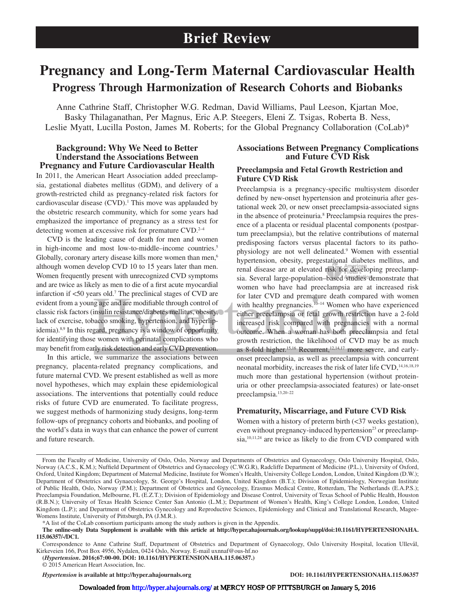# **Pregnancy and Long-Term Maternal Cardiovascular Health Progress Through Harmonization of Research Cohorts and Biobanks**

Anne Cathrine Staff, Christopher W.G. Redman, David Williams, Paul Leeson, Kjartan Moe, Basky Thilaganathan, Per Magnus, Eric A.P. Steegers, Eleni Z. Tsigas, Roberta B. Ness, Leslie Myatt, Lucilla Poston, James M. Roberts; for the Global Pregnancy Collaboration (CoLab)\*

#### **Background: Why We Need to Better Understand the Associations Between Pregnancy and Future Cardiovascular Health**

In 2011, the American Heart Association added preeclampsia, gestational diabetes mellitus (GDM), and delivery of a growth-restricted child as pregnancy-related risk factors for cardiovascular disease  $(CVD)$ .<sup>1</sup> This move was applauded by the obstetric research community, which for some years had emphasized the importance of pregnancy as a stress test for detecting women at excessive risk for premature CVD.<sup>2–4</sup>

CVD is the leading cause of death for men and women in high-income and most low-to-middle–income countries.<sup>5</sup> Globally, coronary artery disease kills more women than men,<sup>6</sup> although women develop CVD 10 to 15 years later than men. Women frequently present with unrecognized CVD symptoms and are twice as likely as men to die of a first acute myocardial infarction if <50 years old.7 The preclinical stages of CVD are evident from a young age and are modifiable through control of classic risk factors (insulin resistance/diabetes mellitus, obesity, lack of exercise, tobacco smoking, hypertension, and hyperlipidemia).8,9 In this regard, pregnancy is a window of opportunity for identifying those women with perinatal complications who may benefit from early risk detection and early CVD prevention.

In this article, we summarize the associations between pregnancy, placenta-related pregnancy complications, and future maternal CVD. We present established as well as more novel hypotheses, which may explain these epidemiological associations. The interventions that potentially could reduce risks of future CVD are enumerated. To facilitate progress, we suggest methods of harmonizing study designs, long-term follow-ups of pregnancy cohorts and biobanks, and pooling of the world's data in ways that can enhance the power of current and future research.

## **Associations Between Pregnancy Complications and Future CVD Risk**

#### **Preeclampsia and Fetal Growth Restriction and Future CVD Risk**

Preeclampsia is a pregnancy-specific multisystem disorder defined by new-onset hypertension and proteinuria after gestational week 20, or new onset preeclampsia-associated signs in the absence of proteinuria.<sup>8</sup> Preeclampsia requires the presence of a placenta or residual placental components (postpartum preeclampsia), but the relative contributions of maternal predisposing factors versus placental factors to its pathophysiology are not well delineated.9 Women with essential hypertension, obesity, pregestational diabetes mellitus, and renal disease are at elevated risk for developing preeclampsia. Several large-population–based studies demonstrate that women who have had preeclampsia are at increased risk for later CVD and premature death compared with women with healthy pregnancies.<sup>10–14</sup> Women who have experienced either preeclampsia or fetal growth restriction have a 2-fold increased risk compared with pregnancies with a normal outcome. When a woman has both preeclampsia and fetal growth restriction, the likelihood of CVD may be as much as 8-fold higher.<sup>15,16</sup> Recurrent,<sup>12,14,17</sup> more severe, and earlyonset preeclampsia, as well as preeclampsia with concurrent neonatal morbidity, increases the risk of later life CVD,<sup>14,16,18,19</sup> much more than gestational hypertension (without proteinuria or other preeclampsia-associated features) or late-onset preeclampsia.13,20–22

#### **Prematurity, Miscarriage, and Future CVD Risk**

Women with a history of preterm birth (<37 weeks gestation), even without pregnancy-induced hypertension<sup>23</sup> or preeclampsia,<sup>10,11,24</sup> are twice as likely to die from CVD compared with

\*A list of the CoLab consortium participants among the study authors is given in the Appendix.

**(***Hypertension***. 2016;67:00-00. DOI: 10.1161/HYPERTENSIONAHA.115.06357.)**

© 2015 American Heart Association, Inc.

From the Faculty of Medicine, University of Oslo, Oslo, Norway and Departments of Obstetrics and Gynaecology, Oslo University Hospital, Oslo, Norway (A.C.S., K.M.); Nuffield Department of Obstetrics and Gynaecology (C.W.G.R), Radcliffe Department of Medicine (P.L.), University of Oxford, Oxford, United Kingdom; Department of Maternal Medicine, Institute for Women's Health, University College London, London, United Kingdom (D.W.); Department of Obstetrics and Gynaecology, St. George's Hospital, London, United Kingdom (B.T.); Division of Epidemiology, Norwegian Institute of Public Health, Oslo, Norway (P.M.); Department of Obstetrics and Gynecology, Erasmus Medical Centre, Rotterdam, The Netherlands (E.A.P.S.); Preeclampsia Foundation, Melbourne, FL (E.Z.T.); Division of Epidemiology and Disease Control, University of Texas School of Public Health, Houston (R.B.N.); University of Texas Health Science Center San Antonio (L.M.); Department of Women's Health, King's College London, London, United Kingdom (L.P.); and Department of Obstetrics Gynecology and Reproductive Sciences, Epidemiology and Clinical and Translational Research, Magee-Womens Institute, University of Pittsburgh, PA (J.M.R.).

**The online-only Data Supplement is available with this article at [http://hyper.ahajournals.org/lookup/suppl/doi:10.1161/HYPERTENSIONAHA.](http://hyper.ahajournals.org/lookup/suppl/doi:10.1161/HYPERTENSIONAHA.115.06357/-/DC1) [115.06357/-/DC1.](http://hyper.ahajournals.org/lookup/suppl/doi:10.1161/HYPERTENSIONAHA.115.06357/-/DC1)**

Correspondence to Anne Cathrine Staff, Department of Obstetrics and Department of Gynaecology, Oslo University Hospital, location Ullevål, Kirkeveien 166, Post Box 4956, Nydalen, 0424 Oslo, Norway. E-mail [uxnnaf@ous-hf.no](mailto:uxnnaf@ous-hf.no)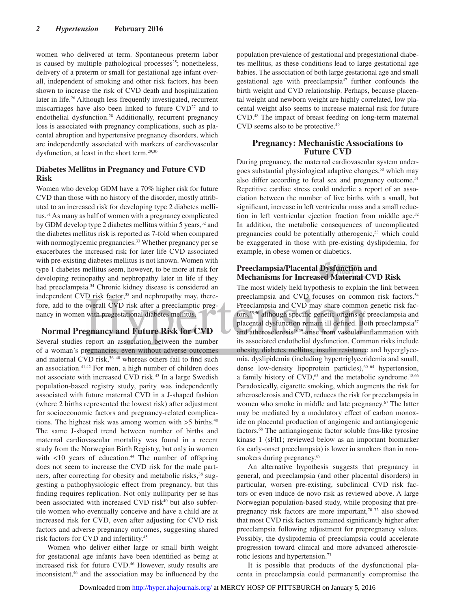women who delivered at term. Spontaneous preterm labor is caused by multiple pathological processes<sup>25</sup>; nonetheless, delivery of a preterm or small for gestational age infant overall, independent of smoking and other risk factors, has been shown to increase the risk of CVD death and hospitalization later in life.<sup>26</sup> Although less frequently investigated, recurrent miscarriages have also been linked to future CVD<sup>27</sup> and to endothelial dysfunction.28 Additionally, recurrent pregnancy loss is associated with pregnancy complications, such as placental abruption and hypertensive pregnancy disorders, which are independently associated with markers of cardiovascular dysfunction, at least in the short term.<sup>29,30</sup>

#### **Diabetes Mellitus in Pregnancy and Future CVD Risk**

Women who develop GDM have a 70% higher risk for future CVD than those with no history of the disorder, mostly attributed to an increased risk for developing type 2 diabetes mellitus.31 As many as half of women with a pregnancy complicated by GDM develop type 2 diabetes mellitus within 5 years,  $32$  and the diabetes mellitus risk is reported as 7-fold when compared with normoglycemic pregnancies.<sup>33</sup> Whether pregnancy per se exacerbates the increased risk for later life CVD associated with pre-existing diabetes mellitus is not known. Women with type 1 diabetes mellitus seem, however, to be more at risk for developing retinopathy and nephropathy later in life if they had preeclampsia.<sup>34</sup> Chronic kidney disease is considered an independent CVD risk factor, $35$  and nephropathy may, therefore, add to the overall CVD risk after a preeclamptic pregnancy in women with pregestational diabetes mellitus.

**Normal Pregnancy and Future Risk for CVD** Several studies report an association between the number of a woman's pregnancies, even without adverse outcomes and maternal CVD risk,<sup>36-40</sup> whereas others fail to find such an association.<sup>41,42</sup> For men, a high number of children does not associate with increased CVD risk.<sup>43</sup> In a large Swedish population-based registry study, parity was independently associated with future maternal CVD in a J-shaped fashion (where 2 births represented the lowest risk) after adjustment for socioeconomic factors and pregnancy-related complications. The highest risk was among women with  $>5$  births.<sup>40</sup> The same J-shaped trend between number of births and maternal cardiovascular mortality was found in a recent study from the Norwegian Birth Registry, but only in women with  $\langle 10 \rangle$  years of education.<sup>44</sup> The number of offspring does not seem to increase the CVD risk for the male partners, after correcting for obesity and metabolic risks,<sup>38</sup> suggesting a pathophysiologic effect from pregnancy, but this finding requires replication. Not only nulliparity per se has been associated with increased CVD risk<sup>40</sup> but also subfertile women who eventually conceive and have a child are at increased risk for CVD, even after adjusting for CVD risk factors and adverse pregnancy outcomes, suggesting shared risk factors for CVD and infertility.45

Women who deliver either large or small birth weight for gestational age infants have been identified as being at increased risk for future CVD.46 However, study results are inconsistent,46 and the association may be influenced by the

population prevalence of gestational and pregestational diabetes mellitus, as these conditions lead to large gestational age babies. The association of both large gestational age and small gestational age with preeclampsia<sup>47</sup> further confounds the birth weight and CVD relationship. Perhaps, because placental weight and newborn weight are highly correlated, low placental weight also seems to increase maternal risk for future CVD.48 The impact of breast feeding on long-term maternal CVD seems also to be protective.<sup>49</sup>

#### **Pregnancy: Mechanistic Associations to Future CVD**

During pregnancy, the maternal cardiovascular system undergoes substantial physiological adaptive changes, $50$  which may also differ according to fetal sex and pregnancy outcome.<sup>51</sup> Repetitive cardiac stress could underlie a report of an association between the number of live births with a small, but significant, increase in left ventricular mass and a small reduction in left ventricular ejection fraction from middle age.<sup>52</sup> In addition, the metabolic consequences of uncomplicated pregnancies could be potentially atherogenic,<sup>53</sup> which could be exaggerated in those with pre-existing dyslipidemia, for example, in obese women or diabetics.

#### **Preeclampsia/Placental Dysfunction and Mechanisms for Increased Maternal CVD Risk**

The most widely held hypothesis to explain the link between preeclampsia and CVD focuses on common risk factors.<sup>54</sup> Preeclampsia and CVD may share common genetic risk factors,55,56 although specific genetic origins of preeclampsia and placental dysfunction remain ill defined. Both preeclampsia<sup>57</sup> and atherosclerosis<sup>58,59</sup> arise from vascular inflammation with its associated endothelial dysfunction. Common risks include obesity, diabetes mellitus, insulin resistance and hyperglycemia, dyslipidemia (including hypertriglyceridemia and small, dense low-density lipoprotein particles),<sup>60–64</sup> hypertension, a family history of CVD,<sup>65</sup> and the metabolic syndrome.<sup>18,66</sup> Paradoxically, cigarette smoking, which augments the risk for atherosclerosis and CVD, reduces the risk for preeclampsia in women who smoke in middle and late pregnancy.<sup>67</sup> The latter may be mediated by a modulatory effect of carbon monoxide on placental production of angiogenic and antiangiogenic factors.68 The antiangiogenic factor soluble fms-like tyrosine kinase 1 (sFlt1; reviewed below as an important biomarker for early-onset preeclampsia) is lower in smokers than in nonsmokers during pregnancy.<sup>69</sup>

An alternative hypothesis suggests that pregnancy in general, and preeclampsia (and other placental disorders) in particular, worsen pre-existing, subclinical CVD risk factors or even induce de novo risk as reviewed above. A large Norwegian population-based study, while proposing that prepregnancy risk factors are more important,70–72 also showed that most CVD risk factors remained significantly higher after preeclampsia following adjustment for prepregnancy values. Possibly, the dyslipidemia of preeclampsia could accelerate progression toward clinical and more advanced atherosclerotic lesions and hypertension.73

It is possible that products of the dysfunctional placenta in preeclampsia could permanently compromise the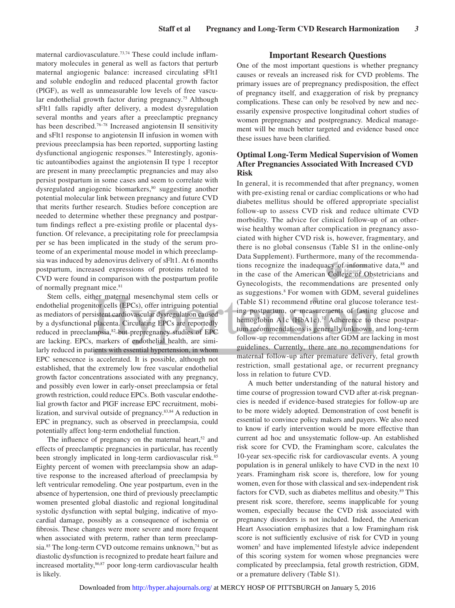maternal cardiovasculature.<sup>73,74</sup> These could include inflammatory molecules in general as well as factors that perturb maternal angiogenic balance: increased circulating sFlt1 and soluble endoglin and reduced placental growth factor (PlGF), as well as unmeasurable low levels of free vascular endothelial growth factor during pregnancy.<sup>75</sup> Although sFlt1 falls rapidly after delivery, a modest dysregulation several months and years after a preeclamptic pregnancy has been described.<sup>76–78</sup> Increased angiotensin II sensitivity and sFlt1 response to angiotensin II infusion in women with previous preeclampsia has been reported, supporting lasting dysfunctional angiogenic responses.79 Interestingly, agonistic autoantibodies against the angiotensin II type 1 receptor are present in many preeclamptic pregnancies and may also persist postpartum in some cases and seem to correlate with dysregulated angiogenic biomarkers,<sup>80</sup> suggesting another potential molecular link between pregnancy and future CVD that merits further research. Studies before conception are needed to determine whether these pregnancy and postpartum findings reflect a pre-existing profile or placental dysfunction. Of relevance, a precipitating role for preeclampsia per se has been implicated in the study of the serum proteome of an experimental mouse model in which preeclampsia was induced by adenovirus delivery of sFlt1. At 6 months postpartum, increased expressions of proteins related to CVD were found in comparison with the postpartum profile of normally pregnant mice.<sup>81</sup>

Stem cells, either maternal mesenchymal stem cells or endothelial progenitor cells (EPCs), offer intriguing potential as mediators of persistent cardiovascular dysregulation caused by a dysfunctional placenta. Circulating EPCs are reportedly reduced in preeclampsia,<sup>82</sup> but prepregnancy studies of EPC are lacking. EPCs, markers of endothelial health, are similarly reduced in patients with essential hypertension, in whom EPC senescence is accelerated. It is possible, although not established, that the extremely low free vascular endothelial growth factor concentrations associated with any pregnancy, and possibly even lower in early-onset preeclampsia or fetal growth restriction, could reduce EPCs. Both vascular endothelial growth factor and PlGF increase EPC recruitment, mobilization, and survival outside of pregnancy.83,84 A reduction in EPC in pregnancy, such as observed in preeclampsia, could potentially affect long-term endothelial function.

The influence of pregnancy on the maternal heart, $52$  and effects of preeclamptic pregnancies in particular, has recently been strongly implicated in long-term cardiovascular risk.<sup>85</sup> Eighty percent of women with preeclampsia show an adaptive response to the increased afterload of preeclampsia by left ventricular remodeling. One year postpartum, even in the absence of hypertension, one third of previously preeclamptic women presented global diastolic and regional longitudinal systolic dysfunction with septal bulging, indicative of myocardial damage, possibly as a consequence of ischemia or fibrosis. These changes were more severe and more frequent when associated with preterm, rather than term preeclampsia.<sup>85</sup> The long-term CVD outcome remains unknown,<sup>74</sup> but as diastolic dysfunction is recognized to predate heart failure and increased mortality,86,87 poor long-term cardiovascular health is likely.

#### **Important Research Questions**

One of the most important questions is whether pregnancy causes or reveals an increased risk for CVD problems. The primary issues are of prepregnancy predisposition, the effect of pregnancy itself, and exaggeration of risk by pregnancy complications. These can only be resolved by new and necessarily expensive prospective longitudinal cohort studies of women prepregnancy and postpregnancy. Medical management will be much better targeted and evidence based once these issues have been clarified.

#### **Optimal Long-Term Medical Supervision of Women After Pregnancies Associated With Increased CVD Risk**

In general, it is recommended that after pregnancy, women with pre-existing renal or cardiac complications or who had diabetes mellitus should be offered appropriate specialist follow-up to assess CVD risk and reduce ultimate CVD morbidity. The advice for clinical follow-up of an otherwise healthy woman after complication in pregnancy associated with higher CVD risk is, however, fragmentary, and there is no global consensus (Table S1 in the online-only Data Supplement). Furthermore, many of the recommendations recognize the inadequacy of informative data,<sup>88</sup> and in the case of the American College of Obstetricians and Gynecologists, the recommendations are presented only as suggestions.<sup>8</sup> For women with GDM, several guidelines (Table S1) recommend routine oral glucose tolerance testing postpartum, or measurements of fasting glucose and hemoglobin A1c (HbA1c).<sup>32</sup> Adherence to these postpartum recommendations is generally unknown, and long-term follow-up recommendations after GDM are lacking in most guidelines. Currently, there are no recommendations for maternal follow-up after premature delivery, fetal growth restriction, small gestational age, or recurrent pregnancy loss in relation to future CVD.

A much better understanding of the natural history and time course of progression toward CVD after at-risk pregnancies is needed if evidence-based strategies for follow-up are to be more widely adopted. Demonstration of cost benefit is essential to convince policy makers and payers. We also need to know if early intervention would be more effective than current ad hoc and unsystematic follow-up. An established risk score for CVD, the Framingham score, calculates the 10-year sex-specific risk for cardiovascular events. A young population is in general unlikely to have CVD in the next 10 years. Framingham risk score is, therefore, low for young women, even for those with classical and sex-independent risk factors for CVD, such as diabetes mellitus and obesity.89 This present risk score, therefore, seems inapplicable for young women, especially because the CVD risk associated with pregnancy disorders is not included. Indeed, the American Heart Association emphasizes that a low Framingham risk score is not sufficiently exclusive of risk for CVD in young women<sup>5</sup> and have implemented lifestyle advice independent of this scoring system for women whose pregnancies were complicated by preeclampsia, fetal growth restriction, GDM, or a premature delivery (Table S1).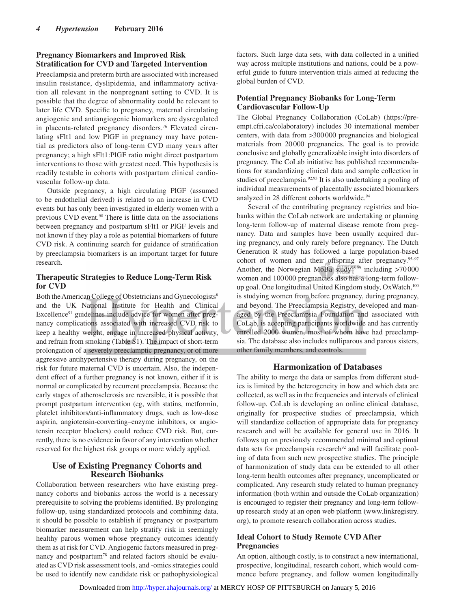## **Pregnancy Biomarkers and Improved Risk Stratification for CVD and Targeted Intervention**

Preeclampsia and preterm birth are associated with increased insulin resistance, dyslipidemia, and inflammatory activation all relevant in the nonpregnant setting to CVD. It is possible that the degree of abnormality could be relevant to later life CVD. Specific to pregnancy, maternal circulating angiogenic and antiangiogenic biomarkers are dysregulated in placenta-related pregnancy disorders.<sup>76</sup> Elevated circulating sFlt1 and low PlGF in pregnancy may have potential as predictors also of long-term CVD many years after pregnancy; a high sFlt1:PlGF ratio might direct postpartum interventions to those with greatest need. This hypothesis is readily testable in cohorts with postpartum clinical cardiovascular follow-up data.

Outside pregnancy, a high circulating PlGF (assumed to be endothelial derived) is related to an increase in CVD events but has only been investigated in elderly women with a previous CVD event.<sup>90</sup> There is little data on the associations between pregnancy and postpartum sFlt1 or PlGF levels and not known if they play a role as potential biomarkers of future CVD risk. A continuing search for guidance of stratification by preeclampsia biomarkers is an important target for future research.

## **Therapeutic Strategies to Reduce Long-Term Risk for CVD**

Both the American College of Obstetricians and Gynecologists<sup>8</sup> and the UK National Institute for Health and Clinical Excellence<sup>91</sup> guidelines include advice for women after pregnancy complications associated with increased CVD risk to keep a healthy weight, engage in increased physical activity, and refrain from smoking (Table S1). The impact of short-term prolongation of a severely preeclamptic pregnancy, or of more aggressive antihypertensive therapy during pregnancy, on the risk for future maternal CVD is uncertain. Also, the independent effect of a further pregnancy is not known, either if it is normal or complicated by recurrent preeclampsia. Because the early stages of atherosclerosis are reversible, it is possible that prompt postpartum intervention (eg, with statins, metformin, platelet inhibitors/anti-inflammatory drugs, such as low-dose aspirin, angiotensin-converting–enzyme inhibitors, or angiotensin receptor blockers) could reduce CVD risk. But, currently, there is no evidence in favor of any intervention whether reserved for the highest risk groups or more widely applied.

## **Use of Existing Pregnancy Cohorts and Research Biobanks**

Collaboration between researchers who have existing pregnancy cohorts and biobanks across the world is a necessary prerequisite to solving the problems identified. By prolonging follow-up, using standardized protocols and combining data, it should be possible to establish if pregnancy or postpartum biomarker measurement can help stratify risk in seemingly healthy parous women whose pregnancy outcomes identify them as at risk for CVD. Angiogenic factors measured in pregnancy and postpartum<sup>78</sup> and related factors should be evaluated as CVD risk assessment tools, and -omics strategies could be used to identify new candidate risk or pathophysiological factors. Such large data sets, with data collected in a unified way across multiple institutions and nations, could be a powerful guide to future intervention trials aimed at reducing the global burden of CVD.

## **Potential Pregnancy Biobanks for Long-Term Cardiovascular Follow-Up**

The Global Pregnancy Collaboration (CoLab) ([https://pre](https://pre-empt.cfri.ca/colaboratory)[empt.cfri.ca/colaboratory\)](https://pre-empt.cfri.ca/colaboratory) includes 30 international member centers, with data from >300000 pregnancies and biological materials from 20000 pregnancies. The goal is to provide conclusive and globally generalizable insight into disorders of pregnancy. The CoLab initiative has published recommendations for standardizing clinical data and sample collection in studies of preeclampsia.92,93 It is also undertaking a pooling of individual measurements of placentally associated biomarkers analyzed in 28 different cohorts worldwide.<sup>94</sup>

Several of the contributing pregnancy registries and biobanks within the CoLab network are undertaking or planning long-term follow-up of maternal disease remote from pregnancy. Data and samples have been usually acquired during pregnancy, and only rarely before pregnancy. The Dutch Generation R study has followed a large population-based cohort of women and their offspring after pregnancy.<sup>95-97</sup> Another, the Norwegian MoBa study<sup>98,99</sup> including  $>70000$ women and 100000 pregnancies also has a long-term followup goal. One longitudinal United Kingdom study, OxWatch,<sup>100</sup> is studying women from before pregnancy, during pregnancy, and beyond. The Preeclampsia Registry, developed and managed by the Preeclampsia Foundation and associated with CoLab, is accepting participants worldwide and has currently enrolled 2000 women, most of whom have had preeclampsia. The database also includes nulliparous and parous sisters, other family members, and controls.

# **Harmonization of Databases**

The ability to merge the data or samples from different studies is limited by the heterogeneity in how and which data are collected, as well as in the frequencies and intervals of clinical follow-up. CoLab is developing an online clinical database, originally for prospective studies of preeclampsia, which will standardize collection of appropriate data for pregnancy research and will be available for general use in 2016. It follows up on previously recommended minimal and optimal data sets for preeclampsia research $92$  and will facilitate pooling of data from such new prospective studies. The principle of harmonization of study data can be extended to all other long-term health outcomes after pregnancy, uncomplicated or complicated. Any research study related to human pregnancy information (both within and outside the CoLab organization) is encouraged to register their pregnancy and long-term followup research study at an open web platform ([www.linkregistry.](http://www.linkregistry.org) [org\)](http://www.linkregistry.org), to promote research collaboration across studies.

## **Ideal Cohort to Study Remote CVD After Pregnancies**

An option, although costly, is to construct a new international, prospective, longitudinal, research cohort, which would commence before pregnancy, and follow women longitudinally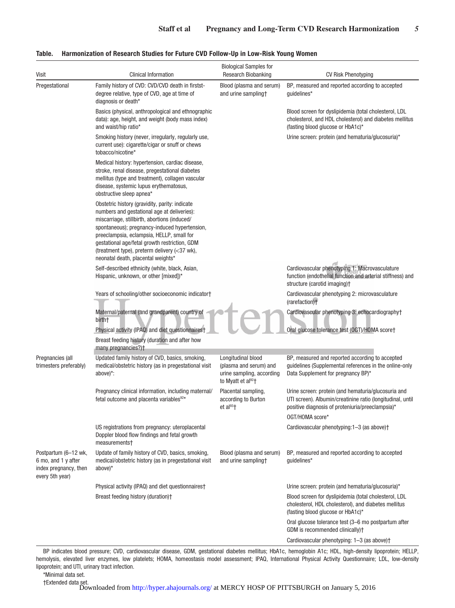| Visit                                                                                   | <b>Clinical Information</b>                                                                                                                                                                                                                                                                                                                                                        | <b>Biological Samples for</b><br>Research Biobanking                                                                   | <b>CV Risk Phenotyping</b>                                                                                                                                                               |
|-----------------------------------------------------------------------------------------|------------------------------------------------------------------------------------------------------------------------------------------------------------------------------------------------------------------------------------------------------------------------------------------------------------------------------------------------------------------------------------|------------------------------------------------------------------------------------------------------------------------|------------------------------------------------------------------------------------------------------------------------------------------------------------------------------------------|
| Pregestational                                                                          | Family history of CVD: CVD/CVD death in firstst-<br>degree relative, type of CVD, age at time of<br>diagnosis or death*                                                                                                                                                                                                                                                            | Blood (plasma and serum)<br>and urine sampling†                                                                        | BP, measured and reported according to accepted<br>guidelines*                                                                                                                           |
|                                                                                         | Basics (physical, anthropological and ethnographic<br>data): age, height, and weight (body mass index)<br>and waist/hip ratio*                                                                                                                                                                                                                                                     |                                                                                                                        | Blood screen for dyslipidemia (total cholesterol, LDL<br>cholesterol, and HDL cholesterol) and diabetes mellitus<br>(fasting blood glucose or HbA1c)*                                    |
|                                                                                         | Smoking history (never, irregularly, regularly use,<br>current use): cigarette/cigar or snuff or chews<br>tobacco/nicotine*                                                                                                                                                                                                                                                        |                                                                                                                        | Urine screen: protein (and hematuria/glucosuria)*                                                                                                                                        |
|                                                                                         | Medical history: hypertension, cardiac disease,<br>stroke, renal disease, pregestational diabetes<br>mellitus (type and treatment), collagen vascular<br>disease, systemic lupus erythematosus,<br>obstructive sleep apnea*                                                                                                                                                        |                                                                                                                        |                                                                                                                                                                                          |
|                                                                                         | Obstetric history (gravidity, parity: indicate<br>numbers and gestational age at deliveries):<br>miscarriage, stillbirth, abortions (induced/<br>spontaneous); pregnancy-induced hypertension,<br>preeclampsia, eclampsia, HELLP, small for<br>gestational age/fetal growth restriction, GDM<br>(treatment type), preterm delivery (<37 wk),<br>neonatal death, placental weights* |                                                                                                                        |                                                                                                                                                                                          |
|                                                                                         | Self-described ethnicity (white, black, Asian,<br>Hispanic, unknown, or other [mixed])*                                                                                                                                                                                                                                                                                            |                                                                                                                        | Cardiovascular phenotyping 1: Macrovasculature<br>function (endothelial function and arterial stiffness) and<br>structure (carotid imaging)+                                             |
|                                                                                         | Years of schooling/other socioeconomic indicator+                                                                                                                                                                                                                                                                                                                                  |                                                                                                                        | Cardiovascular phenotyping 2: microvasculature<br>(rarefaction)+                                                                                                                         |
|                                                                                         | Maternal/paternal (and grandparent) country of<br>birth+<br>Physical activity (IPAQ) and diet questionnaires†                                                                                                                                                                                                                                                                      |                                                                                                                        | Cardiovascular phenotyping 3: echocardiographyt<br>Oral glucose tolerance test (OGT)/HOMA score†                                                                                         |
|                                                                                         | Breast feeding history (duration and after how<br>many pregnancies?)†                                                                                                                                                                                                                                                                                                              |                                                                                                                        |                                                                                                                                                                                          |
| Pregnancies (all<br>trimesters preferably)                                              | Updated family history of CVD, basics, smoking,<br>medical/obstetric history (as in pregestational visit<br>above)*:                                                                                                                                                                                                                                                               | Longitudinal blood<br>(plasma and serum) and<br>urine sampling, according<br>to Myatt et al <sup>92</sup> <sup>+</sup> | BP, measured and reported according to accepted<br>guidelines (Supplemental references in the online-only<br>Data Supplement for pregnancy BP)*                                          |
|                                                                                         | Pregnancy clinical information, including maternal/<br>fetal outcome and placenta variables92*                                                                                                                                                                                                                                                                                     | Placental sampling,<br>according to Burton<br>et al <sup>93</sup> †                                                    | Urine screen: protein (and hematuria/glucosuria and<br>UTI screen). Albumin/creatinine ratio (longitudinal, until<br>positive diagnosis of proteniuria/preeclampsia)*<br>OGT/HOMA score* |
|                                                                                         | US registrations from pregnancy: uteroplacental<br>Doppler blood flow findings and fetal growth<br>measurements+                                                                                                                                                                                                                                                                   |                                                                                                                        | Cardiovascular phenotyping:1-3 (as above)t                                                                                                                                               |
| Postpartum (6–12 wk,<br>6 mo, and 1 y after<br>index pregnancy, then<br>every 5th year) | Update of family history of CVD, basics, smoking,<br>medical/obstetric history (as in pregestational visit<br>above)*                                                                                                                                                                                                                                                              | Blood (plasma and serum)<br>and urine samplingt                                                                        | BP, measured and reported according to accepted<br>guidelines*                                                                                                                           |
|                                                                                         | Physical activity (IPAQ) and diet questionnairest                                                                                                                                                                                                                                                                                                                                  |                                                                                                                        | Urine screen: protein (and hematuria/glucosuria)*                                                                                                                                        |
|                                                                                         | Breast feeding history (duration)+                                                                                                                                                                                                                                                                                                                                                 |                                                                                                                        | Blood screen for dyslipidemia (total cholesterol, LDL<br>cholesterol, HDL cholesterol), and diabetes mellitus<br>(fasting blood glucose or HbA1c)*                                       |
|                                                                                         |                                                                                                                                                                                                                                                                                                                                                                                    |                                                                                                                        | Oral glucose tolerance test (3-6 mo postpartum after<br>GDM is recommended clinically)+                                                                                                  |
|                                                                                         |                                                                                                                                                                                                                                                                                                                                                                                    |                                                                                                                        | Cardiovascular phenotyping: 1-3 (as above) <sup>+</sup>                                                                                                                                  |

#### Table. Harmonization of Research Studies for Future CVD Follow-Up in Low-Risk Young Women

BP indicates blood pressure; CVD, cardiovascular disease, GDM, gestational diabetes mellitus; HbA1c, hemoglobin A1c; HDL, high-density lipoprotein; HELLP, hemolysis, elevated liver enzymes, low platelets; HOMA, homeostasis model assessment; IPAQ, International Physical Activity Questionnaire; LDL, low-density lipoprotein; and UTI, urinary tract infection.

\*Minimal data set.

†Extended data set. Downloaded from<http://hyper.ahajournals.org/>at MERCY HOSP OF PITTSBURGH on January 5, 2016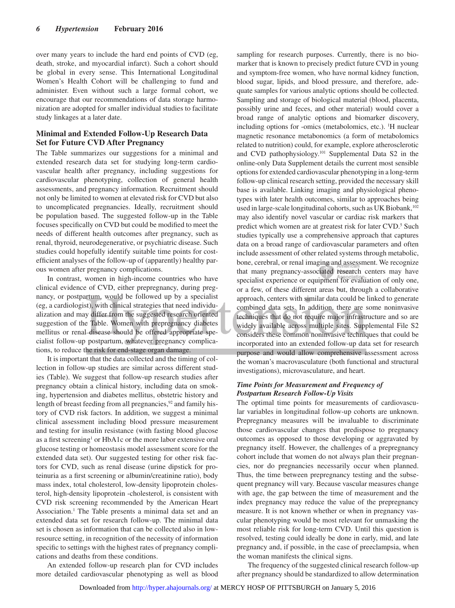over many years to include the hard end points of CVD (eg, death, stroke, and myocardial infarct). Such a cohort should be global in every sense. This International Longitudinal Women's Health Cohort will be challenging to fund and administer. Even without such a large formal cohort, we encourage that our recommendations of data storage harmonization are adopted for smaller individual studies to facilitate study linkages at a later date.

#### **Minimal and Extended Follow-Up Research Data Set for Future CVD After Pregnancy**

The Table summarizes our suggestions for a minimal and extended research data set for studying long-term cardiovascular health after pregnancy, including suggestions for cardiovascular phenotyping, collection of general health assessments, and pregnancy information. Recruitment should not only be limited to women at elevated risk for CVD but also to uncomplicated pregnancies. Ideally, recruitment should be population based. The suggested follow-up in the Table focuses specifically on CVD but could be modified to meet the needs of different health outcomes after pregnancy, such as renal, thyroid, neurodegenerative, or psychiatric disease. Such studies could hopefully identify suitable time points for costefficient analyses of the follow-up of (apparently) healthy parous women after pregnancy complications.

In contrast, women in high-income countries who have clinical evidence of CVD, either prepregnancy, during pregnancy, or postpartum, would be followed up by a specialist (eg, a cardiologist), with clinical strategies that need individualization and may differ from the suggested research oriented suggestion of the Table. Women with prepregnancy diabetes mellitus or renal disease should be offered appropriate specialist follow-up postpartum, whatever pregnancy complications, to reduce the risk for end-stage organ damage.

It is important that the data collected and the timing of collection in follow-up studies are similar across different studies (Table). We suggest that follow-up research studies after pregnancy obtain a clinical history, including data on smoking, hypertension and diabetes mellitus, obstetric history and length of breast feeding from all pregnancies,<sup>92</sup> and family history of CVD risk factors. In addition, we suggest a minimal clinical assessment including blood pressure measurement and testing for insulin resistance (with fasting blood glucose as a first screening<sup>1</sup> or HbA1c or the more labor extensive oral glucose testing or homeostasis model assessment score for the extended data set). Our suggested testing for other risk factors for CVD, such as renal disease (urine dipstick for proteinuria as a first screening or albumin/creatinine ratio), body mass index, total cholesterol, low-density lipoprotein cholesterol, high-density lipoprotein -cholesterol, is consistent with CVD risk screening recommended by the American Heart Association.<sup>1</sup> The Table presents a minimal data set and an extended data set for research follow-up. The minimal data set is chosen as information that can be collected also in lowresource setting, in recognition of the necessity of information specific to settings with the highest rates of pregnancy complications and deaths from these conditions.

An extended follow-up research plan for CVD includes more detailed cardiovascular phenotyping as well as blood sampling for research purposes. Currently, there is no biomarker that is known to precisely predict future CVD in young and symptom-free women, who have normal kidney function, blood sugar, lipids, and blood pressure, and therefore, adequate samples for various analytic options should be collected. Sampling and storage of biological material (blood, placenta, possibly urine and feces, and other material) would cover a broad range of analytic options and biomarker discovery, including options for -omics (metabolomics, etc.). <sup>1</sup>H nuclear magnetic resonance metabonomics (a form of metabolomics related to nutrition) could, for example, explore atherosclerotic and CVD pathophysiology.101 Supplemental Data S2 in the online-only Data Supplement details the current most sensible options for extended cardiovascular phenotyping in a long-term follow-up clinical research setting, provided the necessary skill base is available. Linking imaging and physiological phenotypes with later health outcomes, similar to approaches being used in large-scale longitudinal cohorts, such as UK Biobank,<sup>102</sup> may also identify novel vascular or cardiac risk markers that predict which women are at greatest risk for later CVD.<sup>5</sup> Such studies typically use a comprehensive approach that captures data on a broad range of cardiovascular parameters and often include assessment of other related systems through metabolic, bone, cerebral, or renal imaging and assessment. We recognize that many pregnancy-associated research centers may have specialist experience or equipment for evaluation of only one, or a few, of these different areas but, through a collaborative approach, centers with similar data could be linked to generate combined data sets. In addition, there are some noninvasive techniques that do not require major infrastructure and so are widely available across multiple sites. Supplemental File S2 considers these common noninvasive techniques that could be incorporated into an extended follow-up data set for research purpose and would allow comprehensive assessment across the woman's macrovasculature (both functional and structural investigations), microvasculature, and heart.

#### *Time Points for Measurement and Frequency of Postpartum Research Follow-Up Visits*

The optimal time points for measurements of cardiovascular variables in longitudinal follow-up cohorts are unknown. Prepregnancy measures will be invaluable to discriminate those cardiovascular changes that predispose to pregnancy outcomes as opposed to those developing or aggravated by pregnancy itself. However, the challenges of a prepregnancy cohort include that women do not always plan their pregnancies, nor do pregnancies necessarily occur when planned. Thus, the time between prepregnancy testing and the subsequent pregnancy will vary. Because vascular measures change with age, the gap between the time of measurement and the index pregnancy may reduce the value of the prepregnancy measure. It is not known whether or when in pregnancy vascular phenotyping would be most relevant for unmasking the most reliable risk for long-term CVD. Until this question is resolved, testing could ideally be done in early, mid, and late pregnancy and, if possible, in the case of preeclampsia, when the woman manifests the clinical signs.

The frequency of the suggested clinical research follow-up after pregnancy should be standardized to allow determination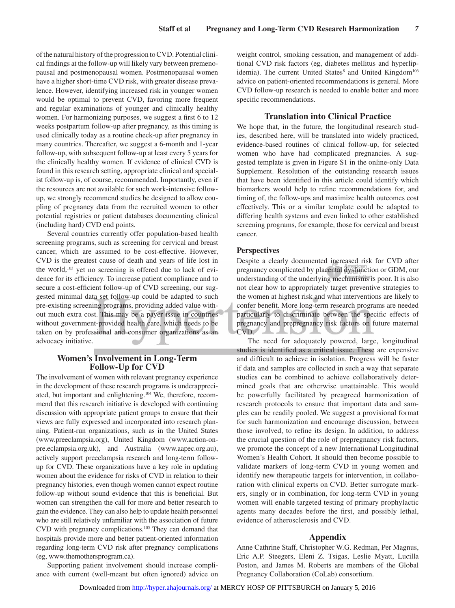of the natural history of the progression to CVD. Potential clinical findings at the follow-up will likely vary between premenopausal and postmenopausal women. Postmenopausal women have a higher short-time CVD risk, with greater disease prevalence. However, identifying increased risk in younger women would be optimal to prevent CVD, favoring more frequent and regular examinations of younger and clinically healthy women. For harmonizing purposes, we suggest a first 6 to 12 weeks postpartum follow-up after pregnancy, as this timing is used clinically today as a routine check-up after pregnancy in many countries. Thereafter, we suggest a 6-month and 1-year follow-up, with subsequent follow-up at least every 5 years for the clinically healthy women. If evidence of clinical CVD is found in this research setting, appropriate clinical and specialist follow-up is, of course, recommended. Importantly, even if the resources are not available for such work-intensive followup, we strongly recommend studies be designed to allow coupling of pregnancy data from the recruited women to other potential registries or patient databases documenting clinical (including hard) CVD end points.

Several countries currently offer population-based health screening programs, such as screening for cervical and breast cancer, which are assumed to be cost-effective. However, CVD is the greatest cause of death and years of life lost in the world,<sup>103</sup> yet no screening is offered due to lack of evidence for its efficiency. To increase patient compliance and to secure a cost-efficient follow-up of CVD screening, our suggested minimal data set follow-up could be adapted to such pre-existing screening programs, providing added value without much extra cost. This may be a payer issue in countries without government-provided health care, which needs to be taken on by professional and consumer organizations as an advocacy initiative. m

#### **Women's Involvement in Long-Term Follow-Up for CVD**

The involvement of women with relevant pregnancy experience in the development of these research programs is underappreciated, but important and enlightening.104 We, therefore, recommend that this research initiative is developed with continuing discussion with appropriate patient groups to ensure that their views are fully expressed and incorporated into research planning. Patient-run organizations, such as in the United States ([www.preeclampsia.org\)](http://www.preeclampsia.org), United Kingdom [\(www.action-on](http://www.action-on-pre.eclampsia.org.uk)[pre.eclampsia.org.uk\)](http://www.action-on-pre.eclampsia.org.uk), and Australia [\(www.aapec.org.au](http://www.aapec.org.au)), actively support preeclampsia research and long-term followup for CVD. These organizations have a key role in updating women about the evidence for risks of CVD in relation to their pregnancy histories, even though women cannot expect routine follow-up without sound evidence that this is beneficial. But women can strengthen the call for more and better research to gain the evidence. They can also help to update health personnel who are still relatively unfamiliar with the association of future CVD with pregnancy complications.105 They can demand that hospitals provide more and better patient-oriented information regarding long-term CVD risk after pregnancy complications (eg, [www.themothersprogram.ca](http://www.themothersprogram.ca)).

Supporting patient involvement should increase compliance with current (well-meant but often ignored) advice on weight control, smoking cessation, and management of additional CVD risk factors (eg, diabetes mellitus and hyperlipidemia). The current United States<sup>8</sup> and United Kingdom<sup>106</sup> advice on patient-oriented recommendations is general. More CVD follow-up research is needed to enable better and more specific recommendations.

#### **Translation into Clinical Practice**

We hope that, in the future, the longitudinal research studies, described here, will be translated into widely practiced, evidence-based routines of clinical follow-up, for selected women who have had complicated pregnancies. A suggested template is given in Figure S1 in the online-only Data Supplement. Resolution of the outstanding research issues that have been identified in this article could identify which biomarkers would help to refine recommendations for, and timing of, the follow-ups and maximize health outcomes cost effectively. This or a similar template could be adapted to differing health systems and even linked to other established screening programs, for example, those for cervical and breast cancer.

#### **Perspectives**

Despite a clearly documented increased risk for CVD after pregnancy complicated by placental dysfunction or GDM, our understanding of the underlying mechanisms is poor. It is also not clear how to appropriately target preventive strategies to the women at highest risk and what interventions are likely to confer benefit. More long-term research programs are needed particularly to discriminate between the specific effects of pregnancy and prepregnancy risk factors on future maternal CVD.

The need for adequately powered, large, longitudinal studies is identified as a critical issue. These are expensive and difficult to achieve in isolation. Progress will be faster if data and samples are collected in such a way that separate studies can be combined to achieve collaboratively determined goals that are otherwise unattainable. This would be powerfully facilitated by preagreed harmonization of research protocols to ensure that important data and samples can be readily pooled. We suggest a provisional format for such harmonization and encourage discussion, between those involved, to refine its design. In addition, to address the crucial question of the role of prepregnancy risk factors, we promote the concept of a new International Longitudinal Women's Health Cohort. It should then become possible to validate markers of long-term CVD in young women and identify new therapeutic targets for intervention, in collaboration with clinical experts on CVD. Better surrogate markers, singly or in combination, for long-term CVD in young women will enable targeted testing of primary prophylactic agents many decades before the first, and possibly lethal, evidence of atherosclerosis and CVD.

#### **Appendix**

Anne Cathrine Staff, Christopher W.G. Redman, Per Magnus, Eric A.P. Steegers, Eleni Z. Tsigas, Leslie Myatt, Lucilla Poston, and James M. Roberts are members of the Global Pregnancy Collaboration (CoLab) consortium.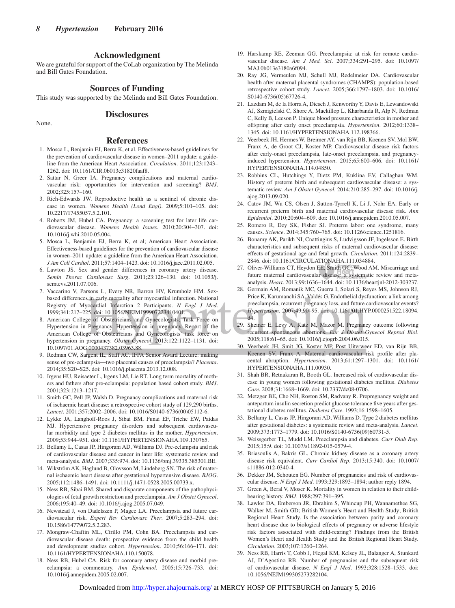#### **Acknowledgment**

We are grateful for support of the CoLab organization by The Melinda and Bill Gates Foundation.

#### **Sources of Funding**

This study was supported by the Melinda and Bill Gates Foundation.

#### **Disclosures**

None.

#### **References**

- 1. Mosca L, Benjamin EJ, Berra K, et al. Effectiveness-based guidelines for the prevention of cardiovascular disease in women–2011 update: a guideline from the American Heart Association. *Circulation*. 2011;123:1243– 1262. doi: 10.1161/CIR.0b013e31820faaf8.
- 2. Sattar N, Greer IA. Pregnancy complications and maternal cardiovascular risk: opportunities for intervention and screening? *BMJ*. 2002;325:157–160.
- 3. Rich-Edwards JW. Reproductive health as a sentinel of chronic disease in women. *Womens Health (Lond Engl)*. 2009;5:101–105. doi: 10.2217/17455057.5.2.101.
- 4. Roberts JM, Hubel CA. Pregnancy: a screening test for later life cardiovascular disease. *Womens Health Issues*. 2010;20:304–307. doi: 10.1016/j.whi.2010.05.004.
- 5. Mosca L, Benjamin EJ, Berra K, et al; American Heart Association. Effectiveness-based guidelines for the prevention of cardiovascular disease in women–2011 update: a guideline from the American Heart Association. *J Am Coll Cardiol*. 2011;57:1404–1423. doi: 10.1016/j.jacc.2011.02.005.
- 6. Lawton JS. Sex and gender differences in coronary artery disease. *Semin Thorac Cardiovasc Surg*. 2011;23:126–130. doi: 10.1053/j. semtcvs.2011.07.006.
- 7. Vaccarino V, Parsons L, Every NR, Barron HV, Krumholz HM. Sexbased differences in early mortality after myocardial infarction. National Registry of Myocardial Infarction 2 Participants. *N Engl J Med*. 1999;341:217–225. doi: 10.1056/NEJM199907223410401.
- 8. American College of Obstetricians and Gynecologists; Task Force on Hypertension in Pregnancy. Hypertension in pregnancy. Report of the American College of Obstetricians and Gynecologists' task force on hypertension in pregnancy. *Obstet Gynecol*. 2013;122:1122–1131. doi: 10.1097/01.AOG.0000437382.03963.88.
- 9. Redman CW, Sargent IL, Staff AC. IFPA Senior Award Lecture: making sense of pre-eclampsia—two placental causes of preeclampsia? *Placenta*. 2014;35:S20–S25. doi: 10.1016/j.placenta.2013.12.008.
- 10. Irgens HU, Reisaeter L, Irgens LM, Lie RT. Long term mortality of mothers and fathers after pre-eclampsia: population based cohort study. *BMJ*. 2001;323:1213–1217.
- 11. Smith GC, Pell JP, Walsh D. Pregnancy complications and maternal risk of ischaemic heart disease: a retrospective cohort study of 129,290 births. *Lancet*. 2001;357:2002–2006. doi: 10.1016/S0140-6736(00)05112-6.
- 12. Lykke JA, Langhoff-Roos J, Sibai BM, Funai EF, Triche EW, Paidas MJ. Hypertensive pregnancy disorders and subsequent cardiovascular morbidity and type 2 diabetes mellitus in the mother. *Hypertension*. 2009;53:944–951. doi: 10.1161/HYPERTENSIONAHA.109.130765.
- 13. Bellamy L, Casas JP, Hingorani AD, Williams DJ. Pre-eclampsia and risk of cardiovascular disease and cancer in later life: systematic review and meta-analysis. *BMJ*. 2007;335:974. doi: 10.1136/bmj.39335.385301.BE.
- 14. Wikström AK, Haglund B, Olovsson M, Lindeberg SN. The risk of maternal ischaemic heart disease after gestational hypertensive disease. *BJOG*. 2005;112:1486–1491. doi: 10.1111/j.1471-0528.2005.00733.x.
- 15. Ness RB, Sibai BM. Shared and disparate components of the pathophysiologies of fetal growth restriction and preeclampsia. *Am J Obstet Gynecol*. 2006;195:40–49. doi: 10.1016/j.ajog.2005.07.049.
- 16. Newstead J, von Dadelszen P, Magee LA. Preeclampsia and future cardiovascular risk. *Expert Rev Cardiovasc Ther*. 2007;5:283–294. doi: 10.1586/14779072.5.2.283.
- 17. Mongraw-Chaffin ML, Cirillo PM, Cohn BA. Preeclampsia and cardiovascular disease death: prospective evidence from the child health and development studies cohort. *Hypertension*. 2010;56:166–171. doi: 10.1161/HYPERTENSIONAHA.110.150078.
- 18. Ness RB, Hubel CA. Risk for coronary artery disease and morbid preeclampsia: a commentary. *Ann Epidemiol*. 2005;15:726–733. doi: 10.1016/j.annepidem.2005.02.007.
- 19. Harskamp RE, Zeeman GG. Preeclampsia: at risk for remote cardiovascular disease. *Am J Med. Sci*. 2007;334:291–295. doi: 10.1097/ MAJ.0b013e3180a6f094.
- 20. Ray JG, Vermeulen MJ, Schull MJ, Redelmeier DA. Cardiovascular health after maternal placental syndromes (CHAMPS): population-based retrospective cohort study. *Lancet*. 2005;366:1797–1803. doi: 10.1016/ S0140-6736(05)67726-4.
- 21. Lazdam M, de la Horra A, Diesch J, Kenworthy Y, Davis E, Lewandowski AJ, Szmigielski C, Shore A, Mackillop L, Kharbanda R, Alp N, Redman C, Kelly B, Leeson P. Unique blood pressure characteristics in mother and offspring after early onset preeclampsia. *Hypertension*. 2012;60:1338– 1345. doi: 10.1161/HYPERTENSIONAHA.112.198366.
- 22. Veerbeek JH, Hermes W, Breimer AY, van Rijn BB, Koenen SV, Mol BW, Franx A, de Groot CJ, Koster MP. Cardiovascular disease risk factors after early-onset preeclampsia, late-onset preeclampsia, and pregnancyinduced hypertension. *Hypertension*. 2015;65:600–606. doi: 10.1161/ HYPERTENSIONAHA.114.04850.
- 23. Robbins CL, Hutchings Y, Dietz PM, Kuklina EV, Callaghan WM. History of preterm birth and subsequent cardiovascular disease: a systematic review. *Am J Obstet Gynecol*. 2014;210:285–297. doi: 10.1016/j. ajog.2013.09.020.
- 24. Catov JM, Wu CS, Olsen J, Sutton-Tyrrell K, Li J, Nohr EA. Early or recurrent preterm birth and maternal cardiovascular disease risk. *Ann Epidemiol*. 2010;20:604–609. doi: 10.1016/j.annepidem.2010.05.007.
- 25. Romero R, Dey SK, Fisher SJ. Preterm labor: one syndrome, many causes. *Science*. 2014;345:760–765. doi: 10.1126/science.1251816.
- 26. Bonamy AK, Parikh NI, Cnattingius S, Ludvigsson JF, Ingelsson E. Birth characteristics and subsequent risks of maternal cardiovascular disease: effects of gestational age and fetal growth. *Circulation*. 2011;124:2839– 2846. doi: 10.1161/CIRCULATIONAHA.111.034884.
- 27. Oliver-Williams CT, Heydon EE, Smith GC, Wood AM. Miscarriage and future maternal cardiovascular disease: a systematic review and metaanalysis. *Heart*. 2013;99:1636–1644. doi: 10.1136/heartjnl-2012-303237.
- 28. Germain AM, Romanik MC, Guerra I, Solari S, Reyes MS, Johnson RJ, Price K, Karumanchi SA, Valdés G. Endothelial dysfunction: a link among preeclampsia, recurrent pregnancy loss, and future cardiovascular events? *Hypertension*. 2007;49:90–95. doi: 10.1161/01.HYP.0000251522.18094.  $d4$
- 29. Sheiner E, Levy A, Katz M, Mazor M. Pregnancy outcome following recurrent spontaneous abortions. *Eur J Obstet Gynecol Reprod Biol*. 2005;118:61–65. doi: 10.1016/j.ejogrb.2004.06.015.
- 30. Veerbeek JH, Smit JG, Koster MP, Post Uiterweer ED, van Rijn BB, Koenen SV, Franx A. Maternal cardiovascular risk profile after placental abruption. *Hypertension*. 2013;61:1297–1301. doi: 10.1161/ HYPERTENSIONAHA.111.00930.
- 31. Shah BR, Retnakaran R, Booth GL. Increased risk of cardiovascular disease in young women following gestational diabetes mellitus. *Diabetes Care*. 2008;31:1668–1669. doi: 10.2337/dc08-0706.
- 32. Metzger BE, Cho NH, Roston SM, Radvany R. Prepregnancy weight and antepartum insulin secretion predict glucose tolerance five years after gestational diabetes mellitus. *Diabetes Care*. 1993;16:1598–1605.
- 33. Bellamy L, Casas JP, Hingorani AD, Williams D. Type 2 diabetes mellitus after gestational diabetes: a systematic review and meta-analysis. *Lancet*. 2009;373:1773–1779. doi: 10.1016/S0140-6736(09)60731-5.
- 34. Weissgerber TL, Mudd LM. Preeclampsia and diabetes. *Curr Diab Rep*. 2015;15:9. doi: 10.1007/s11892-015-0579-4.
- 35. Briasoulis A, Bakris GL. Chronic kidney disease as a coronary artery disease risk equivalent. *Curr Cardiol Rep*. 2013;15:340. doi: 10.1007/ s11886-012-0340-4.
- 36. Dekker JM, Schouten EG. Number of pregnancies and risk of cardiovascular disease. *N Engl J Med*. 1993;329:1893–1894; author reply 1894.
- 37. Green A, Beral V, Moser K. Mortality in women in relation to their childbearing history. *BMJ*. 1988;297:391–395.
- 38. Lawlor DA, Emberson JR, Ebrahim S, Whincup PH, Wannamethee SG, Walker M, Smith GD; British Women's Heart and Health Study; British Regional Heart Study. Is the association between parity and coronary heart disease due to biological effects of pregnancy or adverse lifestyle risk factors associated with child-rearing? Findings from the British Women's Heart and Health Study and the British Regional Heart Study. *Circulation*. 2003;107:1260–1264.
- 39. Ness RB, Harris T, Cobb J, Flegal KM, Kelsey JL, Balanger A, Stunkard AJ, D'Agostino RB. Number of pregnancies and the subsequent risk of cardiovascular disease. *N Engl J Med*. 1993;328:1528–1533. doi: 10.1056/NEJM199305273282104.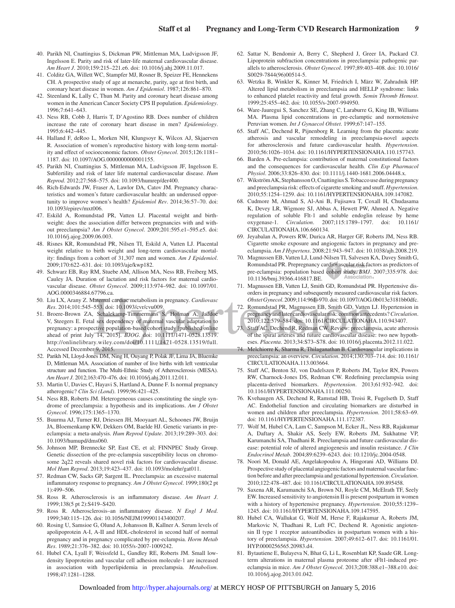- 40. Parikh NI, Cnattingius S, Dickman PW, Mittleman MA, Ludvigsson JF, Ingelsson E. Parity and risk of later-life maternal cardiovascular disease. *Am Heart J*. 2010;159:215–221.e6. doi: 10.1016/j.ahj.2009.11.017.
- 41. Colditz GA, Willett WC, Stampfer MJ, Rosner B, Speizer FE, Hennekens CH. A prospective study of age at menarche, parity, age at first birth, and coronary heart disease in women. *Am J Epidemiol*. 1987;126:861–870.
- 42. Steenland K, Lally C, Thun M. Parity and coronary heart disease among women in the American Cancer Society CPS II population. *Epidemiology*. 1996;7:641–643.
- 43. Ness RB, Cobb J, Harris T, D'Agostino RB. Does number of children increase the rate of coronary heart disease in men? *Epidemiology*. 1995;6:442–445.
- 44. Halland F, deRoo L, Morken NH, Klungsoyr K, Wilcox AJ, Skjaerven R. Association of women's reproductive history with long-term mortality and effect of socioeconomic factors. *Obstet Gynecol*. 2015;126:1181– 1187. doi: 10.1097/AOG.0000000000001155.
- 45. Parikh NI, Cnattingius S, Mittleman MA, Ludvigsson JF, Ingelsson E. Subfertility and risk of later life maternal cardiovascular disease. *Hum Reprod*. 2012;27:568–575. doi: 10.1093/humrep/der400.
- 46. Rich-Edwards JW, Fraser A, Lawlor DA, Catov JM. Pregnancy characteristics and women's future cardiovascular health: an underused opportunity to improve women's health? *Epidemiol Rev*. 2014;36:57–70. doi: 10.1093/epirev/mxt006.
- 47. Eskild A, Romundstad PR, Vatten LJ. Placental weight and birthweight: does the association differ between pregnancies with and without preeclampsia? *Am J Obstet Gynecol*. 2009;201:595.e1–595.e5. doi: 10.1016/j.ajog.2009.06.003.
- 48. Risnes KR, Romundstad PR, Nilsen TI, Eskild A, Vatten LJ. Placental weight relative to birth weight and long-term cardiovascular mortality: findings from a cohort of 31,307 men and women. *Am J Epidemiol*. 2009;170:622–631. doi: 10.1093/aje/kwp182.
- 49. Schwarz EB, Ray RM, Stuebe AM, Allison MA, Ness RB, Freiberg MS, Cauley JA. Duration of lactation and risk factors for maternal cardiovascular disease. *Obstet Gynecol*. 2009;113:974–982. doi: 10.1097/01. AOG.0000346884.67796.ca.
- 50. Liu LX, Arany Z. Maternal cardiac metabolism in pregnancy. *Cardiovasc Res*. 2014;101:545–553. doi: 10.1093/cvr/cvu009.
- 51. Broere-Brown ZA, Schalekamp-Timmermans S, Hofman A, Jaddoe V, Steegers E. Fetal sex dependency of maternal vascular adaptation to pregnancy: a prospective population-based cohort study [published online ahead of print July 14, 2015]. *BJOG*. doi: 10.1111/1471-0528.13519. http://onlinelibrary.wiley.com/doi/10.1111/1471-0528.13519/full. Accessed December 9, 2015.
- 52. Parikh NI, Lloyd-Jones DM, Ning H, Ouyang P, Polak JF, Lima JA, Bluemke D, Mittleman MA. Association of number of live births with left ventricular structure and function. The Multi-Ethnic Study of Atherosclerosis (MESA). *Am Heart J*. 2012;163:470–476. doi: 10.1016/j.ahj.2011.12.011.
- 53. Martin U, Davies C, Hayavi S, Hartland A, Dunne F. Is normal pregnancy atherogenic? *Clin Sci (Lond)*. 1999;96:421–425.
- 54. Ness RB, Roberts JM. Heterogeneous causes constituting the single syndrome of preeclampsia: a hypothesis and its implications. *Am J Obstet Gynecol*. 1996;175:1365–1370.
- 55. Buurma AJ, Turner RJ, Driessen JH, Mooyaart AL, Schoones JW, Bruijn JA, Bloemenkamp KW, Dekkers OM, Baelde HJ. Genetic variants in preeclampsia: a meta-analysis. *Hum Reprod Update*. 2013;19:289–303. doi: 10.1093/humupd/dms060.
- 56. Johnson MP, Brennecke SP, East CE, et al; FINNPEC Study Group. Genetic dissection of the pre-eclampsia susceptibility locus on chromosome 2q22 reveals shared novel risk factors for cardiovascular disease. *Mol Hum Reprod*. 2013;19:423–437. doi: 10.1093/molehr/gat011.
- 57. Redman CW, Sacks GP, Sargent IL. Preeclampsia: an excessive maternal inflammatory response to pregnancy. *Am J Obstet Gynecol*. 1999;180(2 pt 1):499–506.
- 58. Ross R. Atherosclerosis is an inflammatory disease. *Am Heart J*. 1999;138(5 pt 2):S419–S420.
- 59. Ross R. Atherosclerosis–an inflammatory disease. *N Engl J Med*. 1999;340:115–126. doi: 10.1056/NEJM199901143400207.
- 60. Rosing U, Samsioe G, Olund A, Johansson B, Kallner A. Serum levels of apolipoprotein A-I, A-II and HDL-cholesterol in second half of normal pregnancy and in pregnancy complicated by pre-eclampsia. *Horm Metab Res*. 1989;21:376–382. doi: 10.1055/s-2007-1009242.
- 61. Hubel CA, Lyall F, Weissfeld L, Gandley RE, Roberts JM. Small lowdensity lipoproteins and vascular cell adhesion molecule-1 are increased in association with hyperlipidemia in preeclampsia. *Metabolism*. 1998;47:1281–1288.
- 62. Sattar N, Bendomir A, Berry C, Shepherd J, Greer IA, Packard CJ. Lipoprotein subfraction concentrations in preeclampsia: pathogenic parallels to atherosclerosis. *Obstet Gynecol*. 1997;89:403–408. doi: 10.1016/ S0029-7844(96)00514-5.
- 63. Wetzka B, Winkler K, Kinner M, Friedrich I, März W, Zahradnik HP. Altered lipid metabolism in preeclampsia and HELLP syndrome: links to enhanced platelet reactivity and fetal growth. *Semin Thromb Hemost*. 1999;25:455–462. doi: 10.1055/s-2007-994950.
- 64. Ware-Jauregui S, Sanchez SE, Zhang C, Laraburre G, King IB, Williams MA. Plasma lipid concentrations in pre-eclamptic and normotensive Peruvian women. *Int J Gynaecol Obstet*. 1999;67:147–155.
- 65. Staff AC, Dechend R, Pijnenborg R. Learning from the placenta: acute atherosis and vascular remodeling in preeclampsia-novel aspects for atherosclerosis and future cardiovascular health. *Hypertension*. 2010;56:1026–1034. doi: 10.1161/HYPERTENSIONAHA.110.157743.
- 66. Barden A. Pre-eclampsia: contribution of maternal constitutional factors and the consequences for cardiovascular health. *Clin Exp Pharmacol Physiol*. 2006;33:826–830. doi: 10.1111/j.1440-1681.2006.04448.x.
- 67. Wikström AK, Stephansson O, Cnattingius S. Tobacco use during pregnancy and preeclampsia risk: effects of cigarette smoking and snuff. *Hypertension*. 2010;55:1254–1259. doi: 10.1161/HYPERTENSIONAHA.109.147082.
- 68. Cudmore M, Ahmad S, Al-Ani B, Fujisawa T, Coxall H, Chudasama K, Devey LR, Wigmore SJ, Abbas A, Hewett PW, Ahmed A. Negative regulation of soluble Flt-1 and soluble endoglin release by heme oxygenase-1. *Circulation*. 2007;115:1789–1797. doi: 10.1161/ CIRCULATIONAHA.106.660134.
- 69. Jeyabalan A, Powers RW, Durica AR, Harger GF, Roberts JM, Ness RB. Cigarette smoke exposure and angiogenic factors in pregnancy and preeclampsia. *Am J Hypertens*. 2008;21:943–947. doi: 10.1038/ajh.2008.219.
- 70. Magnussen EB, Vatten LJ, Lund-Nilsen TI, Salvesen KA, Davey Smith G, Romundstad PR. Prepregnancy cardiovascular risk factors as predictors of pre-eclampsia: population based cohort study. *BMJ*. 2007;335:978. doi: 10.1136/bmj.39366.416817.BE.
- 71. Magnussen EB, Vatten LJ, Smith GD, Romundstad PR. Hypertensive disorders in pregnancy and subsequently measured cardiovascular risk factors. *Obstet Gynecol*. 2009;114:961–970. doi: 10.1097/AOG.0b013e3181bb0dfc.
- 72. Romundstad PR, Magnussen EB, Smith GD, Vatten LJ. Hypertension in pregnancy and later cardiovascular risk: common antecedents? *Circulation*. 2010;122:579–584. doi: 10.1161/CIRCULATIONAHA.110.943407.
- 73. Staff AC, Dechend R, Redman CW. Review: preeclampsia, acute atherosis of the spiral arteries and future cardiovascular disease: two new hypotheses. *Placenta*. 2013;34:S73–S78. doi: 10.1016/j.placenta.2012.11.022.
- 74. Melchiorre K, Sharma R, Thilaganathan B. Cardiovascular implications in preeclampsia: an overview. *Circulation*. 2014;130:703–714. doi: 10.1161/ CIRCULATIONAHA.113.003664.
- 75. Staff AC, Benton SJ, von Dadelszen P, Roberts JM, Taylor RN, Powers RW, Charnock-Jones DS, Redman CW. Redefining preeclampsia using placenta-derived biomarkers. *Hypertension*. 2013;61:932–942. doi: 10.1161/HYPERTENSIONAHA.111.00250.
- 76. Kvehaugen AS, Dechend R, Ramstad HB, Troisi R, Fugelseth D, Staff AC. Endothelial function and circulating biomarkers are disturbed in women and children after preeclampsia. *Hypertension*. 2011;58:63–69. doi: 10.1161/HYPERTENSIONAHA.111.172387.
- 77. Wolf M, Hubel CA, Lam C, Sampson M, Ecker JL, Ness RB, Rajakumar A, Daftary A, Shakir AS, Seely EW, Roberts JM, Sukhatme VP, Karumanchi SA, Thadhani R. Preeclampsia and future cardiovascular disease: potential role of altered angiogenesis and insulin resistance. *J Clin Endocrinol Metab*. 2004;89:6239–6243. doi: 10.1210/jc.2004-0548.
- 78. Noori M, Donald AE, Angelakopoulou A, Hingorani AD, Williams DJ. Prospective study of placental angiogenic factors and maternal vascular function before and after preeclampsia and gestational hypertension. *Circulation*. 2010;122:478–487. doi: 10.1161/CIRCULATIONAHA.109.895458.
- 79. Saxena AR, Karumanchi SA, Brown NJ, Royle CM, McElrath TF, Seely EW. Increased sensitivity to angiotensin II is present postpartum in women with a history of hypertensive pregnancy. *Hypertension*. 2010;55:1239– 1245. doi: 10.1161/HYPERTENSIONAHA.109.147595.
- 80. Hubel CA, Wallukat G, Wolf M, Herse F, Rajakumar A, Roberts JM, Markovic N, Thadhani R, Luft FC, Dechend R. Agonistic angiotensin II type 1 receptor autoantibodies in postpartum women with a history of preeclampsia. *Hypertension*. 2007;49:612–617. doi: 10.1161/01. HYP.0000256565.20983.d4.
- 81. Bytautiene E, Bulayeva N, Bhat G, Li L, Rosenblatt KP, Saade GR. Longterm alterations in maternal plasma proteome after sFlt1-induced preeclampsia in mice. *Am J Obstet Gynecol*. 2013;208:388.e1–388.e10. doi: 10.1016/j.ajog.2013.01.042.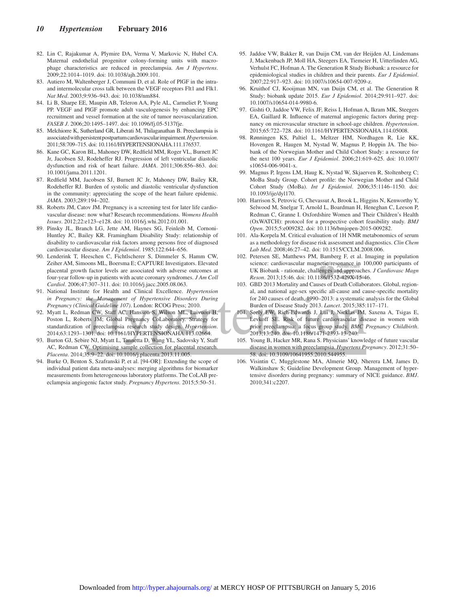- 82. Lin C, Rajakumar A, Plymire DA, Verma V, Markovic N, Hubel CA. Maternal endothelial progenitor colony-forming units with macrophage characteristics are reduced in preeclampsia. *Am J Hypertens*. 2009;22:1014–1019. doi: 10.1038/ajh.2009.101.
- 83. Autiero M, Waltenberger J, Communi D, et al. Role of PlGF in the intraand intermolecular cross talk between the VEGF receptors Flt1 and Flk1. *Nat Med*. 2003;9:936–943. doi: 10.1038/nm884.
- 84. Li B, Sharpe EE, Maupin AB, Teleron AA, Pyle AL, Carmeliet P, Young PP. VEGF and PlGF promote adult vasculogenesis by enhancing EPC recruitment and vessel formation at the site of tumor neovascularization. *FASEB J*. 2006;20:1495–1497. doi: 10.1096/fj.05-5137fje.
- 85. Melchiorre K, Sutherland GR, Liberati M, Thilaganathan B. Preeclampsia is associated with persistent postpartum cardiovascular impairment. *Hypertension*. 2011;58:709–715. doi: 10.1161/HYPERTENSIONAHA.111.176537.
- 86. Kane GC, Karon BL, Mahoney DW, Redfield MM, Roger VL, Burnett JC Jr, Jacobsen SJ, Rodeheffer RJ. Progression of left ventricular diastolic dysfunction and risk of heart failure. *JAMA*. 2011;306:856–863. doi: 10.1001/jama.2011.1201.
- 87. Redfield MM, Jacobsen SJ, Burnett JC Jr, Mahoney DW, Bailey KR, Rodeheffer RJ. Burden of systolic and diastolic ventricular dysfunction in the community: appreciating the scope of the heart failure epidemic. *JAMA*. 2003;289:194–202.
- 88. Roberts JM, Catov JM. Pregnancy is a screening test for later life cardiovascular disease: now what? Research recommendations. *Womens Health Issues*. 2012;22:e123–e128. doi: 10.1016/j.whi.2012.01.001.
- 89. Pinsky JL, Branch LG, Jette AM, Haynes SG, Feinleib M, Cornoni-Huntley JC, Bailey KR. Framingham Disability Study: relationship of disability to cardiovascular risk factors among persons free of diagnosed cardiovascular disease. *Am J Epidemiol*. 1985;122:644–656.
- 90. Lenderink T, Heeschen C, Fichtlscherer S, Dimmeler S, Hamm CW, Zeiher AM, Simoons ML, Boersma E; CAPTURE Investigators. Elevated placental growth factor levels are associated with adverse outcomes at four-year follow-up in patients with acute coronary syndromes. *J Am Coll Cardiol*. 2006;47:307–311. doi: 10.1016/j.jacc.2005.08.063.
- 91. National Institute for Health and Clinical Excellence. *Hypertension in Pregnancy: the Management of Hypertensive Disorders During Pregnancy (Clinical Guideline 107)*. London: RCOG Press; 2010.
- 92. Myatt L, Redman CW, Staff AC, Hansson S, Wilson ML, Laivuori H, Poston L, Roberts JM; Global Pregnancy CoLaboratory. Strategy for standardization of preeclampsia research study design. *Hypertension*. 2014;63:1293–1301. doi: 10.1161/HYPERTENSIONAHA.113.02664.
- 93. Burton GJ, Sebire NJ, Myatt L, Tannetta D, Wang YL, Sadovsky Y, Staff AC, Redman CW. Optimising sample collection for placental research. *Placenta*. 2014;35:9–22. doi: 10.1016/j.placenta.2013.11.005.
- 94. Burke O, Benton S, Szafranski P, et al. [94-OR]: Extending the scope of individual patient data meta-analyses: merging algorithms for biomarker measurements from heterogeneous laboratory platforms. The CoLAB preeclampsia angiogenic factor study. *Pregnancy Hypertens.* 2015;5:50–51.
- 95. Jaddoe VW, Bakker R, van Duijn CM, van der Heijden AJ, Lindemans J, Mackenbach JP, Moll HA, Steegers EA, Tiemeier H, Uitterlinden AG, Verhulst FC, Hofman A. The Generation R Study Biobank: a resource for epidemiological studies in children and their parents. *Eur J Epidemiol*. 2007;22:917–923. doi: 10.1007/s10654-007-9209-z.
- 96. Kruithof CJ, Kooijman MN, van Duijn CM, et al. The Generation R Study: biobank update 2015. *Eur J Epidemiol*. 2014;29:911–927. doi: 10.1007/s10654-014-9980-6.
- 97. Gishti O, Jaddoe VW, Felix JF, Reiss I, Hofman A, Ikram MK, Steegers EA, Gaillard R. Influence of maternal angiogenic factors during pregnancy on microvascular structure in school-age children. *Hypertension*. 2015;65:722–728. doi: 10.1161/HYPERTENSIONAHA.114.05008.
- 98. Rønningen KS, Paltiel L, Meltzer HM, Nordhagen R, Lie KK, Hovengen R, Haugen M, Nystad W, Magnus P, Hoppin JA. The biobank of the Norwegian Mother and Child Cohort Study: a resource for the next 100 years. *Eur J Epidemiol*. 2006;21:619–625. doi: 10.1007/ s10654-006-9041-x.
- 99. Magnus P, Irgens LM, Haug K, Nystad W, Skjaerven R, Stoltenberg C; MoBa Study Group. Cohort profile: the Norwegian Mother and Child Cohort Study (MoBa). *Int J Epidemiol*. 2006;35:1146–1150. doi: 10.1093/ije/dyl170.
- 100. Harrison S, Petrovic G, Chevassut A, Brook L, Higgins N, Kenworthy Y, Selwood M, Snelgar T, Arnold L, Boardman H, Heneghan C, Leeson P, Redman C, Granne I. Oxfordshire Women and Their Children's Health (OxWATCH): protocol for a prospective cohort feasibility study. *BMJ Open*. 2015;5:e009282. doi: 10.1136/bmjopen-2015-009282.
- 101. Ala-Korpela M. Critical evaluation of 1H NMR metabonomics of serum as a methodology for disease risk assessment and diagnostics. *Clin Chem Lab Med*. 2008;46:27–42. doi: 10.1515/CCLM.2008.006.
- 102. Petersen SE, Matthews PM, Bamberg F, et al. Imaging in population science: cardiovascular magnetic resonance in 100,000 participants of UK Biobank - rationale, challenges and approaches. *J Cardiovasc Magn Reson*. 2013;15:46. doi: 10.1186/1532-429X-15-46.
- 103. GBD 2013 Mortality and Causes of Death Collaborators. Global, regional, and national age-sex specific all-cause and cause-specific mortality for 240 causes of death, 1990–2013: a systematic analysis for the Global Burden of Disease Study 2013. *Lancet*. 2015;385:117–171.
- 104. Seely EW, Rich-Edwards J, Lui J, Nicklas JM, Saxena A, Tsigas E, Levkoff SE. Risk of future cardiovascular disease in women with prior preeclampsia: a focus group study. *BMC Pregnancy Childbirth*. 2013;13:240. doi: 10.1186/1471-2393-13-240.
- 105. Young B, Hacker MR, Rana S. Physicians' knowledge of future vascular disease in women with preeclampsia. *Hypertens Pregnancy*. 2012;31:50– 58. doi: 10.3109/10641955.2010.544955.
- 106. Visintin C, Mugglestone MA, Almerie MQ, Nherera LM, James D, Walkinshaw S; Guideline Development Group. Management of hypertensive disorders during pregnancy: summary of NICE guidance. *BMJ*. 2010;341:c2207.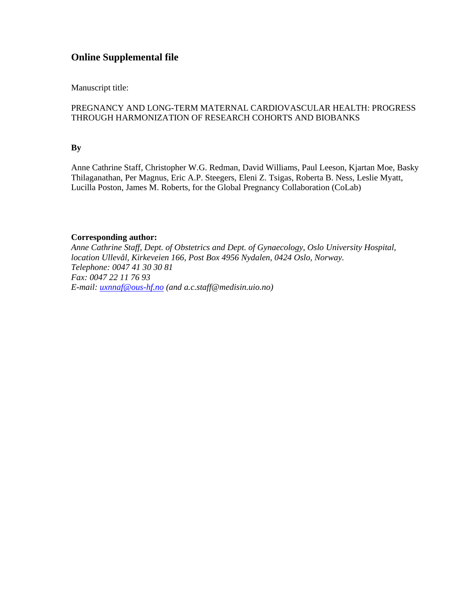# **Online Supplemental file**

Manuscript title:

# PREGNANCY AND LONG-TERM MATERNAL CARDIOVASCULAR HEALTH: PROGRESS THROUGH HARMONIZATION OF RESEARCH COHORTS AND BIOBANKS

# **By**

Anne Cathrine Staff, Christopher W.G. Redman, David Williams, Paul Leeson, Kjartan Moe, Basky Thilaganathan, Per Magnus, Eric A.P. Steegers, Eleni Z. Tsigas, Roberta B. Ness, Leslie Myatt, Lucilla Poston, James M. Roberts, for the Global Pregnancy Collaboration (CoLab)

# **Corresponding author:**

*Anne Cathrine Staff, Dept. of Obstetrics and Dept. of Gynaecology, Oslo University Hospital, location Ullevål, Kirkeveien 166, Post Box 4956 Nydalen, 0424 Oslo, Norway. Telephone: 0047 41 30 30 81 Fax: 0047 22 11 76 93 E-mail: uxnnaf@ous-hf.no (and a.c.staff@medisin.uio.no)*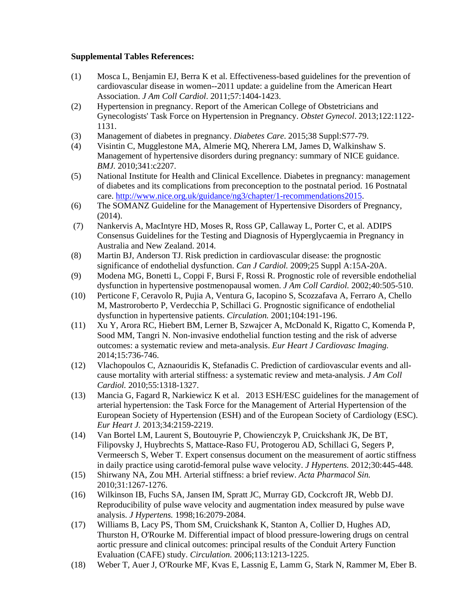# **Supplemental Tables References:**

- (1) Mosca L, Benjamin EJ, Berra K et al. Effectiveness-based guidelines for the prevention of cardiovascular disease in women--2011 update: a guideline from the American Heart Association. *J Am Coll Cardiol*. 2011;57:1404-1423.
- (2) Hypertension in pregnancy. Report of the American College of Obstetricians and Gynecologists' Task Force on Hypertension in Pregnancy. *Obstet Gynecol*. 2013;122:1122- 1131.
- (3) Management of diabetes in pregnancy. *Diabetes Care*. 2015;38 Suppl:S77-79.
- (4) Visintin C, Mugglestone MA, Almerie MQ, Nherera LM, James D, Walkinshaw S. Management of hypertensive disorders during pregnancy: summary of NICE guidance. *BMJ.* 2010;341:c2207.
- (5) National Institute for Health and Clinical Excellence. Diabetes in pregnancy: management of diabetes and its complications from preconception to the postnatal period. 16 Postnatal care. http://www.nice.org.uk/guidance/ng3/chapter/1-recommendations2015.
- (6) The SOMANZ Guideline for the Management of Hypertensive Disorders of Pregnancy, (2014).
- (7) Nankervis A, MacIntyre HD, Moses R, Ross GP, Callaway L, Porter C, et al. ADIPS Consensus Guidelines for the Testing and Diagnosis of Hyperglycaemia in Pregnancy in Australia and New Zealand. 2014.
- (8) Martin BJ, Anderson TJ. Risk prediction in cardiovascular disease: the prognostic significance of endothelial dysfunction. *Can J Cardiol.* 2009;25 Suppl A:15A-20A.
- (9) Modena MG, Bonetti L, Coppi F, Bursi F, Rossi R. Prognostic role of reversible endothelial dysfunction in hypertensive postmenopausal women. *J Am Coll Cardiol.* 2002;40:505-510.
- (10) Perticone F, Ceravolo R, Pujia A, Ventura G, Iacopino S, Scozzafava A, Ferraro A, Chello M, Mastroroberto P, Verdecchia P, Schillaci G. Prognostic significance of endothelial dysfunction in hypertensive patients. *Circulation.* 2001;104:191-196.
- (11) Xu Y, Arora RC, Hiebert BM, Lerner B, Szwajcer A, McDonald K, Rigatto C, Komenda P, Sood MM, Tangri N. Non-invasive endothelial function testing and the risk of adverse outcomes: a systematic review and meta-analysis. *Eur Heart J Cardiovasc Imaging.* 2014;15:736-746.
- (12) Vlachopoulos C, Aznaouridis K, Stefanadis C. Prediction of cardiovascular events and allcause mortality with arterial stiffness: a systematic review and meta-analysis. *J Am Coll Cardiol.* 2010;55:1318-1327.
- (13) Mancia G, Fagard R, Narkiewicz K et al. 2013 ESH/ESC guidelines for the management of arterial hypertension: the Task Force for the Management of Arterial Hypertension of the European Society of Hypertension (ESH) and of the European Society of Cardiology (ESC). *Eur Heart J.* 2013;34:2159-2219.
- (14) Van Bortel LM, Laurent S, Boutouyrie P, Chowienczyk P, Cruickshank JK, De BT, Filipovsky J, Huybrechts S, Mattace-Raso FU, Protogerou AD, Schillaci G, Segers P, Vermeersch S, Weber T. Expert consensus document on the measurement of aortic stiffness in daily practice using carotid-femoral pulse wave velocity. *J Hypertens.* 2012;30:445-448.
- (15) Shirwany NA, Zou MH. Arterial stiffness: a brief review. *Acta Pharmacol Sin.* 2010;31:1267-1276.
- (16) Wilkinson IB, Fuchs SA, Jansen IM, Spratt JC, Murray GD, Cockcroft JR, Webb DJ. Reproducibility of pulse wave velocity and augmentation index measured by pulse wave analysis. *J Hypertens.* 1998;16:2079-2084.
- (17) Williams B, Lacy PS, Thom SM, Cruickshank K, Stanton A, Collier D, Hughes AD, Thurston H, O'Rourke M. Differential impact of blood pressure-lowering drugs on central aortic pressure and clinical outcomes: principal results of the Conduit Artery Function Evaluation (CAFE) study. *Circulation.* 2006;113:1213-1225.
- (18) Weber T, Auer J, O'Rourke MF, Kvas E, Lassnig E, Lamm G, Stark N, Rammer M, Eber B.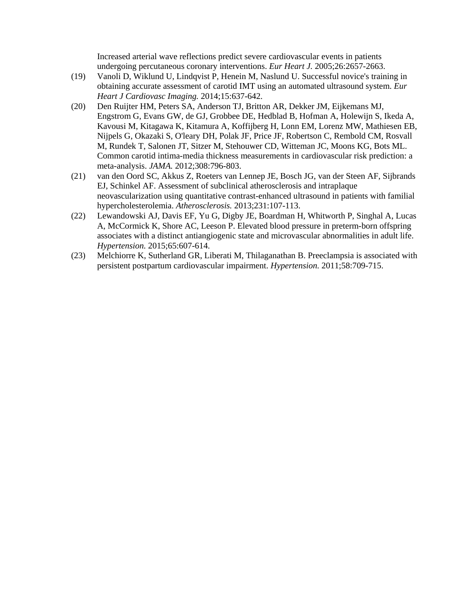Increased arterial wave reflections predict severe cardiovascular events in patients undergoing percutaneous coronary interventions. *Eur Heart J.* 2005;26:2657-2663.

- (19) Vanoli D, Wiklund U, Lindqvist P, Henein M, Naslund U. Successful novice's training in obtaining accurate assessment of carotid IMT using an automated ultrasound system. *Eur Heart J Cardiovasc Imaging.* 2014;15:637-642.
- (20) Den Ruijter HM, Peters SA, Anderson TJ, Britton AR, Dekker JM, Eijkemans MJ, Engstrom G, Evans GW, de GJ, Grobbee DE, Hedblad B, Hofman A, Holewijn S, Ikeda A, Kavousi M, Kitagawa K, Kitamura A, Koffijberg H, Lonn EM, Lorenz MW, Mathiesen EB, Nijpels G, Okazaki S, O'leary DH, Polak JF, Price JF, Robertson C, Rembold CM, Rosvall M, Rundek T, Salonen JT, Sitzer M, Stehouwer CD, Witteman JC, Moons KG, Bots ML. Common carotid intima-media thickness measurements in cardiovascular risk prediction: a meta-analysis. *JAMA.* 2012;308:796-803.
- (21) van den Oord SC, Akkus Z, Roeters van Lennep JE, Bosch JG, van der Steen AF, Sijbrands EJ, Schinkel AF. Assessment of subclinical atherosclerosis and intraplaque neovascularization using quantitative contrast-enhanced ultrasound in patients with familial hypercholesterolemia. *Atherosclerosis.* 2013;231:107-113.
- (22) Lewandowski AJ, Davis EF, Yu G, Digby JE, Boardman H, Whitworth P, Singhal A, Lucas A, McCormick K, Shore AC, Leeson P. Elevated blood pressure in preterm-born offspring associates with a distinct antiangiogenic state and microvascular abnormalities in adult life. *Hypertension.* 2015;65:607-614.
- (23) Melchiorre K, Sutherland GR, Liberati M, Thilaganathan B. Preeclampsia is associated with persistent postpartum cardiovascular impairment. *Hypertension.* 2011;58:709-715.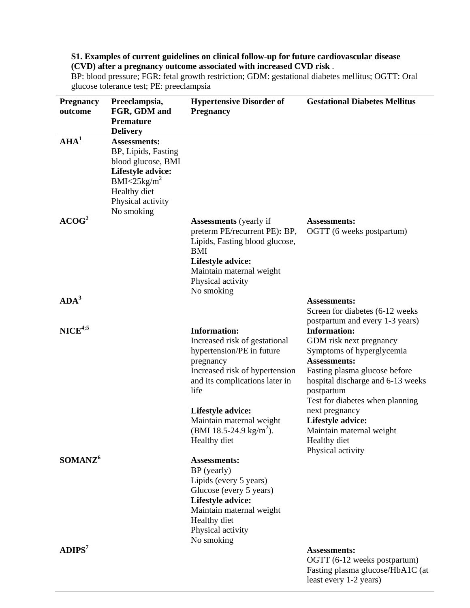# **S1. Examples of current guidelines on clinical follow-up for future cardiovascular disease (CVD) after a pregnancy outcome associated with increased CVD risk** .

BP: blood pressure; FGR: fetal growth restriction; GDM: gestational diabetes mellitus; OGTT: Oral glucose tolerance test; PE: preeclampsia

| <b>Pregnancy</b><br>outcome | Preeclampsia,<br>FGR, GDM and<br><b>Premature</b><br><b>Delivery</b>                                                                                                          | <b>Hypertensive Disorder of</b><br><b>Pregnancy</b>                                                                                                                                                       | <b>Gestational Diabetes Mellitus</b>                                                                                                                                                                                      |
|-----------------------------|-------------------------------------------------------------------------------------------------------------------------------------------------------------------------------|-----------------------------------------------------------------------------------------------------------------------------------------------------------------------------------------------------------|---------------------------------------------------------------------------------------------------------------------------------------------------------------------------------------------------------------------------|
| AHA <sup>I</sup>            | <b>Assessments:</b><br>BP, Lipids, Fasting<br>blood glucose, BMI<br><b>Lifestyle advice:</b><br>BMI < 25 kg/m <sup>2</sup><br>Healthy diet<br>Physical activity<br>No smoking |                                                                                                                                                                                                           |                                                                                                                                                                                                                           |
| ACOG <sup>2</sup>           |                                                                                                                                                                               | <b>Assessments</b> (yearly if<br>preterm PE/recurrent PE): BP,<br>Lipids, Fasting blood glucose,<br><b>BMI</b><br><b>Lifestyle advice:</b><br>Maintain maternal weight<br>Physical activity<br>No smoking | <b>Assessments:</b><br>OGTT (6 weeks postpartum)                                                                                                                                                                          |
| ADA <sup>3</sup>            |                                                                                                                                                                               |                                                                                                                                                                                                           | <b>Assessments:</b><br>Screen for diabetes (6-12 weeks<br>postpartum and every 1-3 years)                                                                                                                                 |
| NICE <sup>4,5</sup>         |                                                                                                                                                                               | <b>Information:</b><br>Increased risk of gestational<br>hypertension/PE in future<br>pregnancy<br>Increased risk of hypertension<br>and its complications later in<br>life                                | <b>Information:</b><br>GDM risk next pregnancy<br>Symptoms of hyperglycemia<br><b>Assessments:</b><br>Fasting plasma glucose before<br>hospital discharge and 6-13 weeks<br>postpartum<br>Test for diabetes when planning |
|                             |                                                                                                                                                                               | Lifestyle advice:<br>Maintain maternal weight<br>(BMI 18.5-24.9 kg/m <sup>2</sup> ).<br>Healthy diet                                                                                                      | next pregnancy<br><b>Lifestyle advice:</b><br>Maintain maternal weight<br>Healthy diet<br>Physical activity                                                                                                               |
| SOMANZ <sup>6</sup>         |                                                                                                                                                                               | <b>Assessments:</b><br>BP (yearly)<br>Lipids (every 5 years)<br>Glucose (every 5 years)<br>Lifestyle advice:<br>Maintain maternal weight<br>Healthy diet<br>Physical activity<br>No smoking               |                                                                                                                                                                                                                           |
| ADIPS <sup>7</sup>          |                                                                                                                                                                               |                                                                                                                                                                                                           | Assessments:<br>OGTT (6-12 weeks postpartum)<br>Fasting plasma glucose/HbA1C (at<br>least every 1-2 years)                                                                                                                |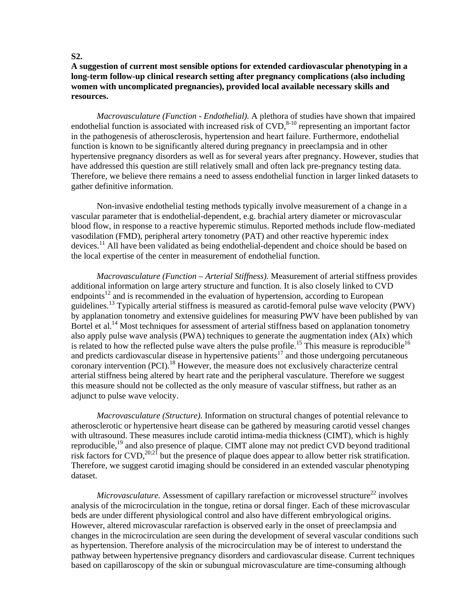#### **S2.**

**A suggestion of current most sensible options for extended cardiovascular phenotyping in a long-term follow-up clinical research setting after pregnancy complications (also including women with uncomplicated pregnancies), provided local available necessary skills and resources.** 

*Macrovasculature (Function - Endothelial).* A plethora of studies have shown that impaired endothelial function is associated with increased risk of  $CVD$ ,  $8-10$  representing an important factor in the pathogenesis of atherosclerosis, hypertension and heart failure. Furthermore, endothelial function is known to be significantly altered during pregnancy in preeclampsia and in other hypertensive pregnancy disorders as well as for several years after pregnancy. However, studies that have addressed this question are still relatively small and often lack pre-pregnancy testing data. Therefore, we believe there remains a need to assess endothelial function in larger linked datasets to gather definitive information.

Non-invasive endothelial testing methods typically involve measurement of a change in a vascular parameter that is endothelial-dependent, e.g. brachial artery diameter or microvascular blood flow, in response to a reactive hyperemic stimulus. Reported methods include flow-mediated vasodilation (FMD), peripheral artery tonometry (PAT) and other reactive hyperemic index devices.<sup>11</sup> All have been validated as being endothelial-dependent and choice should be based on the local expertise of the center in measurement of endothelial function.

*Macrovasculature (Function – Arterial Stiffness).* Measurement of arterial stiffness provides additional information on large artery structure and function. It is also closely linked to CVD endpoints $12$  and is recommended in the evaluation of hypertension, according to European guidelines.13 Typically arterial stiffness is measured as carotid-femoral pulse wave velocity (PWV) by applanation tonometry and extensive guidelines for measuring PWV have been published by van Bortel et al.<sup>14</sup> Most techniques for assessment of arterial stiffness based on applanation tonometry also apply pulse wave analysis (PWA) techniques to generate the augmentation index (AIx) which is related to how the reflected pulse wave alters the pulse profile.<sup>15</sup> This measure is reproducible<sup>16</sup> and predicts cardiovascular disease in hypertensive patients<sup>17</sup> and those undergoing percutaneous coronary intervention  $(PCI)$ .<sup>18</sup> However, the measure does not exclusively characterize central arterial stiffness being altered by heart rate and the peripheral vasculature. Therefore we suggest this measure should not be collected as the only measure of vascular stiffness, but rather as an adjunct to pulse wave velocity.

*Macrovasculature (Structure).* Information on structural changes of potential relevance to atherosclerotic or hypertensive heart disease can be gathered by measuring carotid vessel changes with ultrasound. These measures include carotid intima-media thickness (CIMT), which is highly reproducible,<sup>19</sup> and also presence of plaque. CIMT alone may not predict CVD beyond traditional risk factors for CVD,<sup>20;21</sup> but the presence of plaque does appear to allow better risk stratification. Therefore, we suggest carotid imaging should be considered in an extended vascular phenotyping dataset.

*Microvasculature.* Assessment of capillary rarefaction or microvessel structure<sup>22</sup> involves analysis of the microcirculation in the tongue, retina or dorsal finger. Each of these microvascular beds are under different physiological control and also have different embryological origins. However, altered microvascular rarefaction is observed early in the onset of preeclampsia and changes in the microcirculation are seen during the development of several vascular conditions such as hypertension. Therefore analysis of the microcirculation may be of interest to understand the pathway between hypertensive pregnancy disorders and cardiovascular disease. Current techniques based on capillaroscopy of the skin or subungual microvasculature are time-consuming although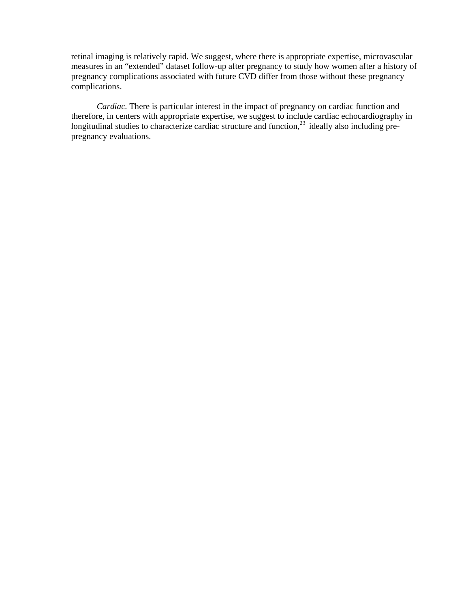retinal imaging is relatively rapid. We suggest, where there is appropriate expertise, microvascular measures in an "extended" dataset follow-up after pregnancy to study how women after a history of pregnancy complications associated with future CVD differ from those without these pregnancy complications.

*Cardiac.* There is particular interest in the impact of pregnancy on cardiac function and therefore, in centers with appropriate expertise, we suggest to include cardiac echocardiography in longitudinal studies to characterize cardiac structure and function, $^{23}$  ideally also including prepregnancy evaluations.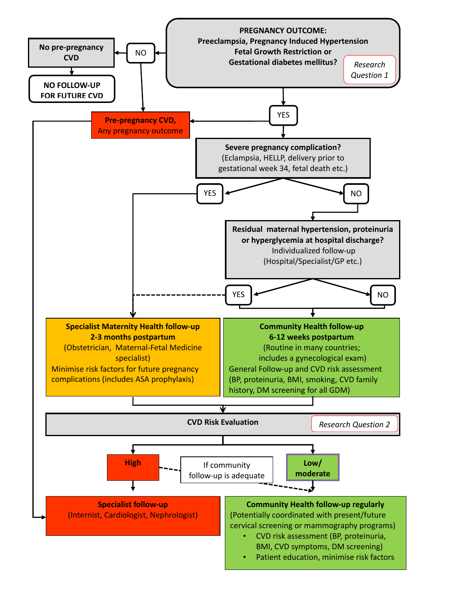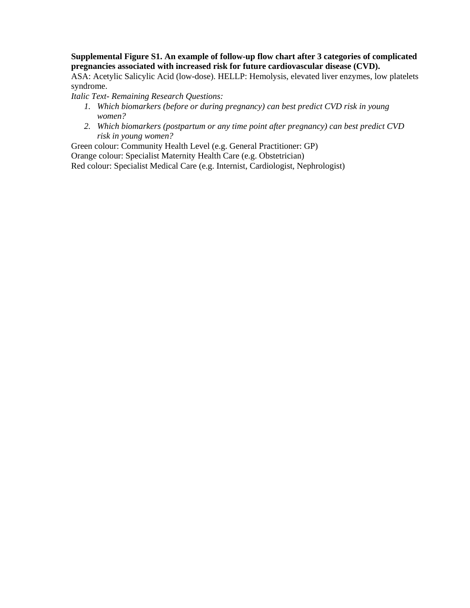# **Supplemental Figure S1. An example of follow-up flow chart after 3 categories of complicated pregnancies associated with increased risk for future cardiovascular disease (CVD).**

ASA: Acetylic Salicylic Acid (low-dose). HELLP: Hemolysis, elevated liver enzymes, low platelets syndrome.

*Italic Text- Remaining Research Questions:* 

- *1. Which biomarkers (before or during pregnancy) can best predict CVD risk in young women?*
- *2. Which biomarkers (postpartum or any time point after pregnancy) can best predict CVD risk in young women?*

Green colour: Community Health Level (e.g. General Practitioner: GP)

Orange colour: Specialist Maternity Health Care (e.g. Obstetrician)

Red colour: Specialist Medical Care (e.g. Internist, Cardiologist, Nephrologist)